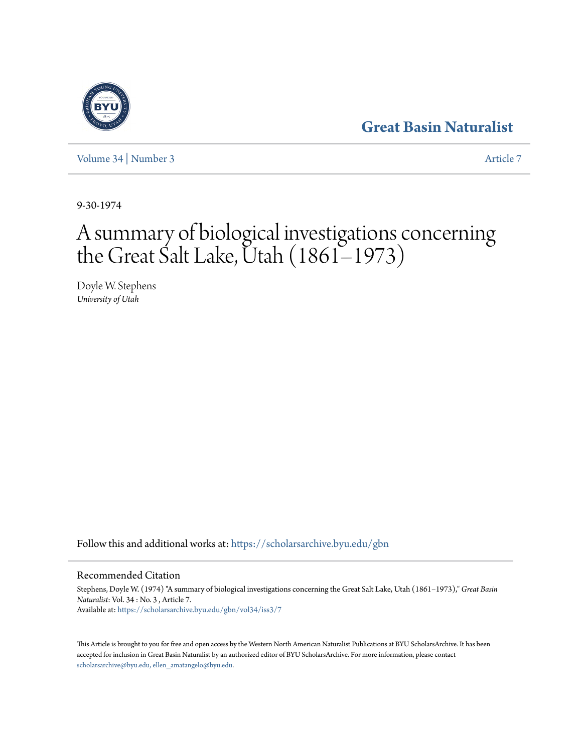## **[Great Basin Naturalist](https://scholarsarchive.byu.edu/gbn?utm_source=scholarsarchive.byu.edu%2Fgbn%2Fvol34%2Fiss3%2F7&utm_medium=PDF&utm_campaign=PDFCoverPages)**

[Volume 34](https://scholarsarchive.byu.edu/gbn/vol34?utm_source=scholarsarchive.byu.edu%2Fgbn%2Fvol34%2Fiss3%2F7&utm_medium=PDF&utm_campaign=PDFCoverPages) | [Number 3](https://scholarsarchive.byu.edu/gbn/vol34/iss3?utm_source=scholarsarchive.byu.edu%2Fgbn%2Fvol34%2Fiss3%2F7&utm_medium=PDF&utm_campaign=PDFCoverPages) [Article 7](https://scholarsarchive.byu.edu/gbn/vol34/iss3/7?utm_source=scholarsarchive.byu.edu%2Fgbn%2Fvol34%2Fiss3%2F7&utm_medium=PDF&utm_campaign=PDFCoverPages)

9-30-1974

# A summary of biological investigations concerning the Great Salt Lake, Utah (1861–1973)

Doyle W. Stephens *University of Utah*

Follow this and additional works at: [https://scholarsarchive.byu.edu/gbn](https://scholarsarchive.byu.edu/gbn?utm_source=scholarsarchive.byu.edu%2Fgbn%2Fvol34%2Fiss3%2F7&utm_medium=PDF&utm_campaign=PDFCoverPages)

### Recommended Citation

Stephens, Doyle W. (1974) "A summary of biological investigations concerning the Great Salt Lake, Utah (1861–1973)," *Great Basin Naturalist*: Vol. 34 : No. 3 , Article 7. Available at: [https://scholarsarchive.byu.edu/gbn/vol34/iss3/7](https://scholarsarchive.byu.edu/gbn/vol34/iss3/7?utm_source=scholarsarchive.byu.edu%2Fgbn%2Fvol34%2Fiss3%2F7&utm_medium=PDF&utm_campaign=PDFCoverPages)

This Article is brought to you for free and open access by the Western North American Naturalist Publications at BYU ScholarsArchive. It has been accepted for inclusion in Great Basin Naturalist by an authorized editor of BYU ScholarsArchive. For more information, please contact [scholarsarchive@byu.edu, ellen\\_amatangelo@byu.edu.](mailto:scholarsarchive@byu.edu,%20ellen_amatangelo@byu.edu)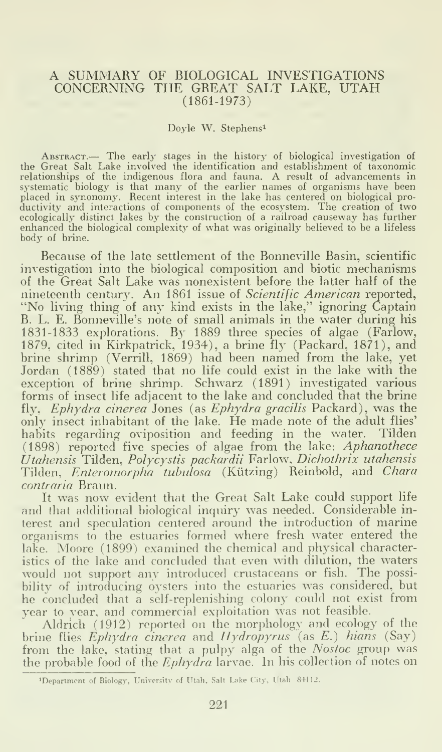#### A SUMMARY OF BIOLOGICAL INVESTIGATIONS CONCERNING THE GREAT SALT LAKE, UTAH (1861-1973)

#### Doyle W. Stephens^

ABSTRACT.— The early stages in the history of biological investigation of<br>the Great Salt Lake involved the identification and establishment of taxonomic<br>relationships of the indigenous flora and fauna. A result of advancem ecologically distinct lakes bv the construction of a railroad causeway has further enhanced the biological complexity of what was originally believed to be a lifeless body of brine.

Because of the late settlement of the Bonneville Basin, scientific investigation into the biological composition and biotic mechanisms of the Great Salt Lake was nonexistent before the latter half of the nineteenth century. An 1861 issue of Scientific American reported, "No living thing of any kind exists in the lake," ignoring Captain B. L. E. Bonneville's note of small animals in the water during his 1831-1833 explorations. By 1889 three species of algae (Farlow, 1879, cited in Kirkpatrick, 1934), a brine fly (Packard, 1871), and brine shrimp (Verrill, 1869) had been named from the lake, yet Jordan (1889) stated that no life could exist in the lake with the exception of brine shrimp. Schwarz (1891) investigated various forms of insect life adjacent to the lake and concluded that the brine fly, Ephydra cinerea Jones (as Ephydra gracilis Packard), was the only insect inhabitant of the lake. He made note of the adult flies' habits regarding oviposition and feeding in the water. Tilden  $(1898)$  reported five species of algae from the lake:  $A$ phanothece  $\qquad$ Utahensis Tilden, Polycystis packardii Farlow, Dichothrix utahensis Tilden, *Enteromorpha tubulosa* (Kützing) Reinbold, and Chara contraria Braun.

It was now evident that the Great Salt Lake could support life and that additional biological inquiry was needed. Considerable interest and speculation centered around the introduction of marine organisms to the estuaries formed where fresh water entered the lake. Moore (1899) examined the chemical and physical characteristics of the lake and concluded that even with dilution, the waters would not support anv introduced crustaceans or fish. The possibilitv of introducing oysters into the estuaries was considered, but he concluded that <sup>a</sup> self-replenishing colony could not exist from year to year, and commercial exploitation was not feasible.

Aldrich (1912) reported on the morphology and ecology of the brine flies  $E$ phydra cincrea and Hydropyrus (as E.) hians (Say) from the lake, stating that <sup>a</sup> pulpy alga of the Nostoc group was the probable food of the *Ephydra* larvae. In his collection of notes on

<sup>&#</sup>x27;Department of Biology-, University of Utah. Salt Lake City, Utah 84112.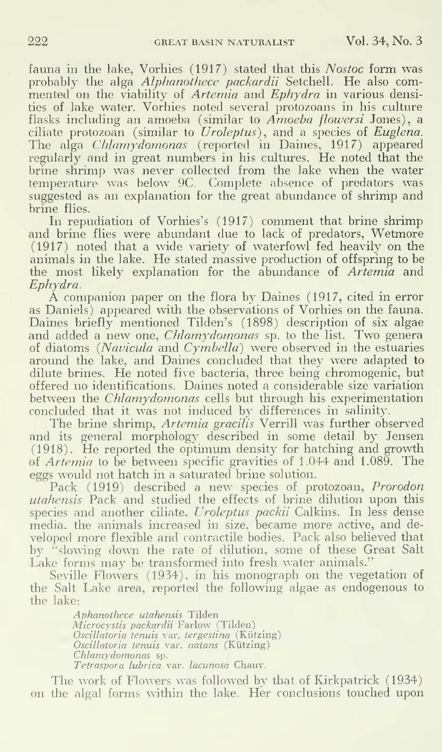fauna in the lake, Vorhies (1917) stated that this Nostoc form was probably the alga Alphanothece packardii Setchell. He also com mented on the viability of *Artemia* and *Ephydra* in various densities of lake water. Vorhies noted several protozoans in his culture flasks including an amoeba (similar to Amoeba flowersi Jones), a ciliate protozoan (similar to  $U$ roleptus), and a species of Euglena. The alga Chlamydomonas (reported in Daines, 1917) appeared regularly and in great numbers in his cultures. He noted that the brine shrimp was never collected from the lake when the water temperature was below 9C Complete absence of predators was suggested as an explanation for the great abundance of shrimp and brine flies.

In repudiation of Vorhies's (1917) comment that brine shrimp and brine flies were abundant due to lack of predators, Wetmore (1917) noted that a wide variety of waterfowl fed heavily on the animals in the lake. He stated massive production of offspring to be the most likely explanation for the abundance of Artemia and Ephydra.

A companion paper on the flora by Daines (1917, cited in error as Daniels) appeared with the observations of Vorhies on the fauna. Daines briefly mentioned Tilden's (1898) description of six algae and added a new one, *Chlamydomonas* sp. to the list. Two genera of diatoms (Navicula and Cymbella) were observed in the estuaries around the lake, and Daines concluded that they were adapted to dilute brines. He noted five bacteria, three being chromogenic, but offered no identifications. Daines noted a considerable size variation between the Chlamydomonas cells but through his experimentation concluded that it was not induced by differences in salinity.

The brine shrimp, Artemia gracilis Verrill was further observed and its general morphology described in some detail by Jensen (1918). He reported the optimum density for hatching and growth of Artemia to be between specific gravities of 1.044 and 1.089. The eggs would not hatch in a saturated brine solution.

Pack (1919) described a new species of protozoan, Prorodon utahensis Pack and studied the effects of brine dilution upon this species and another ciliate, Uroleptus packii Calkins. In less dense media, the animals increased in size, became more active, and de veloped more flexible and contractile bodies. Pack also believed that by "slowing down the rate of dilution, some of these Great Salt Lake forms may be transformed into fresh water animals."

Seville Flowers (1934), in his monograph on the vegetation of the Salt Lake area, reported the following algae as endogenous to the lake:

> Aphanothece utahensis Tilden Microcystis packardii Farlow (Tilden) Oscillatoria tenuis var. tergestina (Kiitzing) Oscillatoria tenuis var. natans (Kiitzing) Chlamydomonas sp. Tetraspora lubrica var. lacunosa Chauv.

The work of Flowers was followed by that of Kirkpatrick (1934) on the algal forms within the lake. Her conclusions touched upon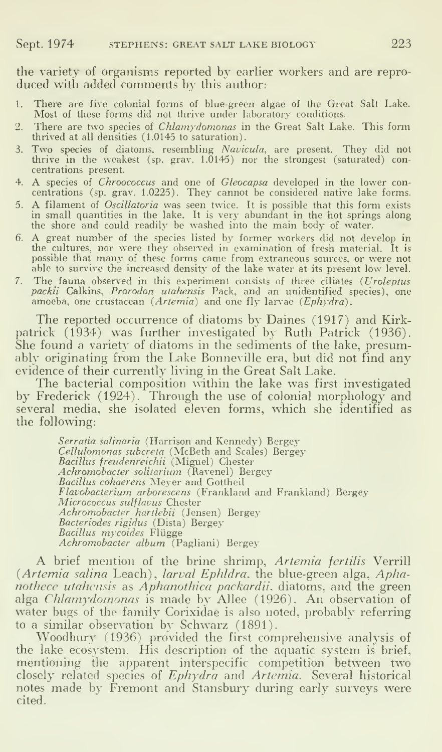the variety of organisms reported by earlier workers and are repro duced with added comments by this author:

- 1 There are five colonial forms of blue-green algae of the Great Salt Lake.<br>Most of these forms did not thrive under laboratory conditions.
- There are two species of *Chlamydomonas* in the Great Salt Lake. This form thrived at all densities (1.0145 to saturation).
- 3. Two species of diatoms, resembling Navicula, are present. They did not thrive in the weakest (sp. grav.  $1.0145$ ) nor the strongest (saturated) concentrations present.
- 4. A species of Chroococcus and one of Gleocapsa developed in the lower con centrations (sp. grav. 1.0225). They cannot be considered native lake forms.
- 5. A filament of *Oscillatoria* was seen twice. It is possible that this form exists in small quantities in the lake. It is very abundant in the hot springs along the shore and could readily be washed into the main body of
- 6. A great number of the species listed by former workers did not develop in the cultures, nor were they observed in examination of fresh material. It is possible that many of these fonns came from extraneous sources, or were not able to survive the increased density of the lake water at its present low level.
- 7. The fauna observed in this experiment consists of three ciliates {Uroleptus packii Calkins, Prorodon utahensis Pack, and an unidentified species), one amoeba, one crustacean (Artemia) and one fly larvae (Ephydra).

The reported occurrence of diatoms by Daines (1917) and Kirkpatrick (1934) was further investigated by Ruth Patrick (1936). She found a variety of diatoms in the sediments of the lake, presumably originating from the Lake Bonneville era, but did not find any evidence of their currently living in the Great Salt Lake.

The bacterial composition within the lake was first investigated by Frederick (1924). Through the use of colonial morphology and several media, she isolated eleven forms, which she identified as the following:

> Serratia salinaria (Harrison and Kennedy) Bergey C*ellulomonas subcreta* (McBeth and Scales) Bergey<br>*Bacillus freudenreichii* (Miguel) Chester Achromobacter solitarium (Ravenel) Bergey Bacillus cohaerens Meyer and Gottheil Flavobacterium arborescens (Frankland and Frankland) Bergey Micrococcus sulflavus Chester Achromobacter hartlebii (Jensen) Bergey Bacteriodes rigidus (Dista) Bergey<br>Bacillus mycoides Flügge Achromobacter album (Pagliani) Bergey

A brief mention of the brine shrimp, Artemia fertilis Verrill (Artemia salina Leach), larval Ephldra. the blue-green alga, Aphanothece utahensis as Aphanothica packardii. diatoms, and the green alga Chlamydomonas is made by AUee (1926). An observation of water bugs of the family Corixidae is also noted, probably referring to a similar observation by Schwarz (1891).

Woodbury (1936) provided the first comprehensive analysis of the lake ecosystem. His description of the aquatic system is brief, mentioning the apparent interspecific competition between two closely related species of Ephydra and Artemia. Several historical notes made by Fremont and Stansbury during early surveys were cited.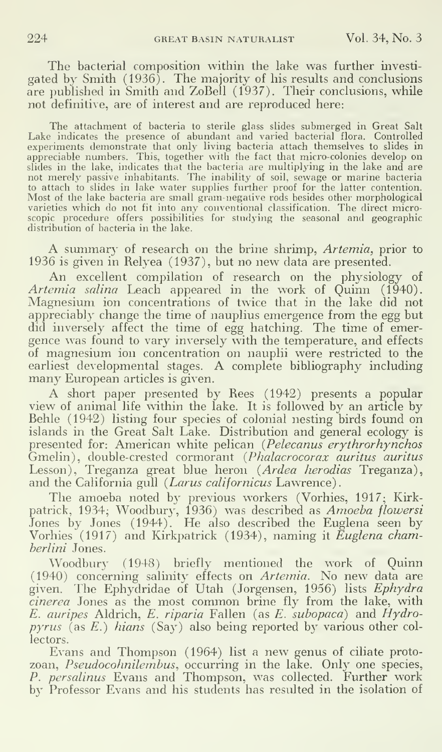The bacterial composition within the lake was further investi gated by Smith (1936). The majority of his results and conclusions are published in Smith and ZoBell (1937). Their conclusions, while not definitive, are of interest and are reproduced here:

The attachment of bacteria to sterile glass slides submerged in Great Salt Lake indicates the presence of abundant and varied bacterial flora. Controlled<br>experiments demonstrate that only living bacteria attach themselves to slides in<br>appreciable numbers. This, together with the fact that micro-c slides in the lake, indicates that the bacteria are multiplying in the lake and are not merely passive inhabitants. The inability of soil, sewage or marine bacteria to attach to slides in lake water supplies further proof for the latter contention. Most of the lake bacteria are small gram-negative rods besides other morphological varieties which do not fit into any conventional classification. The direct microscopic procedure offers possibilities for studying the seasonal and geographic distribution of bacteria in the lake.

A summary of research on the brine shrimp, Artemia, prior to 1936 is given in Relyea (1937), but no new data are presented.

An excellent compilation of research on the physiology of *Artemia salina* Leach appeared in the work of Quinn (1940). Magnesium ion concentrations of twice that in the lake did not appreciably change the time of nauplius emergence from the egg but did inversely affect the time of egg hatching. The time of emergence was found to vary inversely with the temperature, and effects of magnesium ion concentration on nauplii were restricted to the earliest developmental stages. A complete bibliography including many European articles is given.

A short paper presented by Rees (1942) presents <sup>a</sup> popular view of animal life within the lake. It is followed by an article by Behle (1942) listing four species of colonial nesting birds found on islands in the Great Salt Lake. Distribution and general ecology is presented for: American white pelican (Pelecanus erythrorhynchos Gmelin), double-crested cormorant {Phalacrocorax auritus auritus Lesson), Treganza great blue heron (Ardea herodias Treganza), and the California gull (Larus californicus Lawrence).

The amoeba noted by previous workers (Vorhies, 1917; Kirkpatrick, 1934; Woodbury, 1936) was described as *Amoeba flowersi* Jones by Jones (1944). He also described the Euglena seen by Vorhies (1917) and Kirkpatrick (1934), naming it *Euglena cham*berlini Jones.

Woodbury (1948) briefly mentioned the work of Quinn (1940) concerning salinity effects on *Artemia*. No new data are given. The Ephydridae of Utah (Jorgensen, 1956) lists *Ephydra* cinerea Jones as the most common brine fly from the lake, with  $E.$  auripes Aldrich,  $E.$  riparia Fallen (as  $E.$  subopaca) and  $Hydro$  $pyrus$  (as E.) hians (Say) also being reported by various other collectors.

Evans and Thompson (1964) list <sup>a</sup> new genus of ciliate proto zoan, Pseudocohnilembus, occurring in the lake. Only one species, *P. persalinus* Evans and Thompson, was collected. Further work by Professor Evans and his students has resulted in the isolation of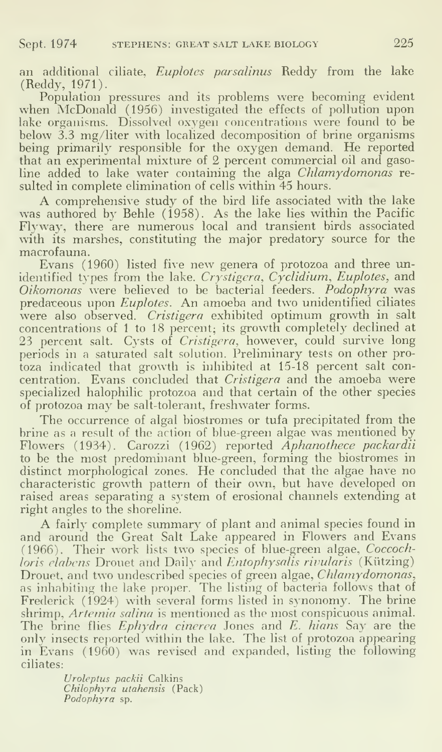an additional ciliate, Euplotes parsalinus Reddy from the lake (Reddy, 1971).

Population pressures and its problems were becoming evident when McDonald (1956) investigated the effects of pollution upon lake organisms. Dissolved oxygen concentrations were found to be below 3.3 mg/liter with localized decomposition of brine organisms being primarily responsible for the oxygen demand. He reported that an experimental mixture of 2 percent commercial oil and gasoline added to lake water containing the alga *Chlamydomonas* resulted in complete elimination of cells within 45 hours.

A comprehensive study of the bird life associated with the lake was authored by Behle (1958). As the lake lies within the Pacific Flyway, there are numerous local and transient birds associated with its marshes, constituting the major predatory source for the macrofauna.

Evans (1960) listed five new genera of protozoa and three unidentified types from the lake. Crystigera, Cyclidium, Euplotes, and Oikomonas were believed to be bacterial feeders. Podophyra was predareous upon Euplotes. An amoeba and two unidentified ciliates were also observed. Cristigera exhibited optimum growth in salt concentrations of <sup>1</sup> to 18 percent; its growth completely declined at 23 percent salt. Cysts of Cristigera, however, could survive long periods in a saturated salt solution. Preliminary tests on other protoza indicated that growth is inhibited at 15-18 percent salt concentration. Evans concluded that Cristigera and the amoeba were specialized halophilic protozoa and that certain of the other species of protozoa may be salt-tolerant, freshwater forms.

The occurrence of algal biostromes or tufa precipitated from the brine as a result of the action of blue-green algae was mentioned by Flowers (1934). Carozzi (1962) reported Aphanothece packardii to be the most predominant blue-green, forming the biostromes in distinct morphological zones. He concluded that the algae have no characteristic grow'th pattern of their own, but have developed on raised areas separating a system of erosional channels extending at right angles to the shoreline.

A fairly complete summary of plant and animal species found in and around the Great Salt Lake appeared in Flowers and Evans (1966). Their work lists two species of blue-green algae, Coccochloris elabens Drouet and Daily and Entophysalis rivularis (Kützing) Drouet, and two undescribed species of green algae, *Chlamydomonas*, as inhabiting the lake proper. The listing of bacteria follows that of Frederick (1924) with several forms listed in synonomy. The brine shrimp, Artemia salina is mentioned as the most conspicuous animal. The brine flies Ephydra cinerea Jones and E. hians Say are the only insects reported within the lake. The list of protozoa appearing in Evans (1960) was revised and expanded, listing the following ciliates:

> Urolepius packii Calkins Chilophyra utahensis (Pack) Podophyra sp.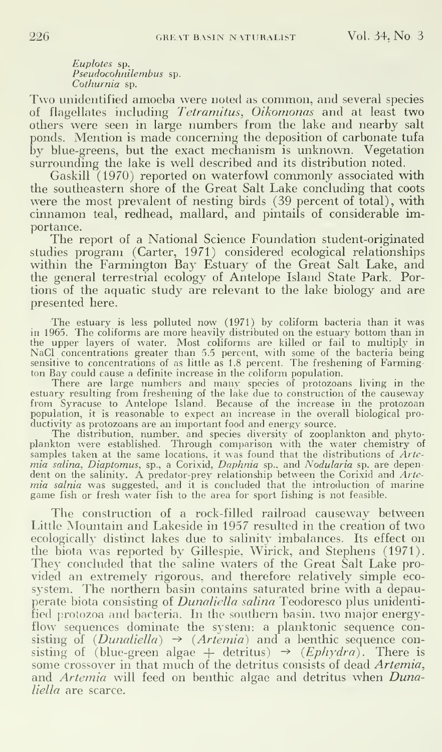Euplotes sp. Pseudocohnilembus sp. Cothurnia sp.

Two unidentified amoeba were noted as common, and several species of flagellates including Tetramitus, Oikomonas and at least two others were seen in large numbers from the lake and nearby salt ponds. Mention is made concerning the deposition of carbonate tufa by blue-greens, but the exact mechanism is unknown. Vegetation surrounding the lake is well described and its distribution noted.

Gaskill  $(1970)$  reported on waterfowl commonly associated with the southeastern shore of the Great Salt Lake concluding that coots were the most prevalent of nesting birds (39 percent of total), with cinnamon teal, redhead, mallard, and pintails of considerable importance.

The report of a National Science Foundation student-originated studies program (Carter, 1971) considered ecological relationships within the Farmington Bay Estuary of the Great Salt Lake, and the general terrestrial ecology of Antelope Island State Park. Portions of the aquatic study are relevant to the lake biology and are presented here.

The estuary is less polluted now (1971) by coliform bacteria than it was in 1965. The coliforms are more heavily distributed on the estuary bottom than in the upper layers of water. Most coliforms are killed or fail to multiply in NaCl concentrations greater than 5.5 percent, with some of the bacteria being sensitive to concentrations of as little as 1.8 percent. The freshening of Farmington Bay could cause a definite increase in the coliform population.

There are large numbers and many species of protozoans living in the estuary resulting from freshening of the lake due to construction of the causeway from Syracuse to Antelope Island. Because of the increase in the protozoan population, it is reasonable to expect an increase in the overall biological productivity as protozoans are an important food and energy source.

The distribution, number, and species diversity- of zooplankton and phyto-plankton were established. Through comparison with the water chemistry of samples taken at the same locations, it was found that the distributions of *Artemia salina, Diaptomus*, sp., a Corixid, *Daphnia* sp., and *Nodularia* sp. ae dependent on the salinity. A predator-prey relationship between mia salnia was suggested, and it is concluded that the introduction of marine game fish or fresh water fish to the area for sport fishing is not feasible.

The construction of a rock-filled railroad causeway between Little Mountain and Lakeside in 1957 resulted in the creation of two ecologically distinct lakes due to salinity imbalances. Its effect on the biota was reported by Gillespie, Wirick, and Stephens (1971). They concluded that the saline waters of the Great Salt Lake provided an extremely rigorous, and therefore relatively simple eco system. The northern basin contains saturated brine with a depauperate biota consisting of *Dunaliella salina* Teodoresco plus unidentified protozoa and bacteria. In the southern basin, two major energyflow sequences dominate the system: a planktonic sequence consisting of  $(Dunaliella) \rightarrow (Artenia)$  and a benthic sequence consisting of (blue-green algae  $+$  detritus)  $\rightarrow$  (*Ephydra*). There is some crossover in that much of the detritus consists of dead Artemia, and Artemia will feed on benthic algae and detritus when Dunaliella are scarce.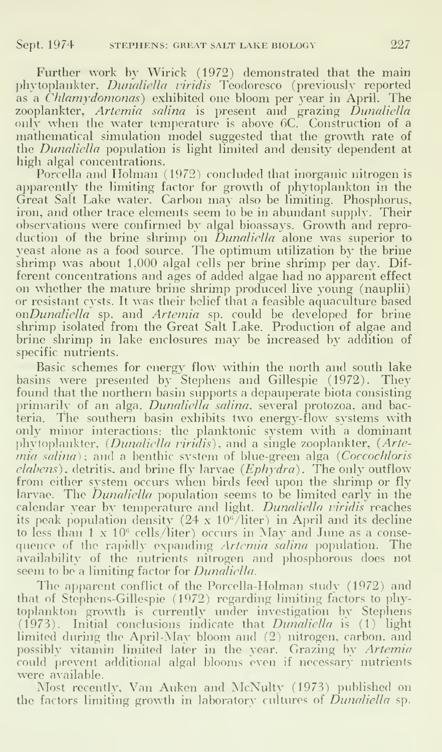Further work by Wirick (1972) demonstrated that the main phytoplankter, Dunaliella viridis Teodoresco (previously reported as a *Chlamydomonas*) exhibited one bloom per year in April. The zooplankter, *Artemia salina* is present and grazing *Dunaliella* – – only when the water temperature is above 6C. Construction of a  $\qquad$ mathematical simulation model suggested that the growth rate of the *Dunaliella* population is light limited and density dependent at high algal concentrations.

Porcella and Holman (1972) concluded that inorganic nitrogen is apparently the limiting factor for growth of phytoplankton in the Great Salt Lake water. Carbon may also be limiting. Phosphorus, iron, and other trace elements seem to be in abundant supply. Their observations were confirmed by algal bioassays. Growth and repro duction of the brine shrimp on *Dunaliella* alone was superior to yeast alone as a food source. The optimum utilization by the brine shrimp was about 1,000 algal cells per brine shrimp per day. Different concentrations and ages of added algae had no apparent effect on whether the mature brine shrimp produced live young (nauplii) or resistant cysts. It was their belief that a feasible aquaculture based onDunaliella sp. and Artemia sp. could be developed for brine shrimp isolated from the Great Salt Lake. Production of algae and brine shrimp in lake enclosures may be increased by addition of specific nutrients.

Basic schemes for energy flow within the north and south lake basins were presented by Stephens and Gillespie (1972). They found that the northern basin supports a depauperate biota consisting primarily of an alga, *Dunaliella salina*, several protozoa, and bacteria. The southern basin exhibits two energy-flow systems with only minor interactions: the planktonic system with a dominant phytoplanktor, {Dunaliella viridis), and a single zooplankter, (Arte $mia$  salina); and a benthic system of blue-green alga (Coccochloris  $elabens$ ), detritis, and brine fly larvae ( $Ephydra$ ). The only outflow from either system occurs when birds feed upon the shrimp or fly larvae. The *Dunaliella* population seems to be limited early in the calendar year by temperature and light. Dunaliella viridis reaches its peak population density  $(24 \times 10^6/\text{liter})$  in April and its decline to less than  $1 \times 10^6$  cells/liter) occurs in May and June as a consequence of the rapidly expanding Artemia salina population. The availability of the nutrients nitrogen and phosphorous does not seem to be a limiting factor for *Dunaliella*.

The apparent conflict of the Porcella-Holman study (1972) and that of Stephens-Gillespie (1972) regarding limiting factors to phytoplankton growth is currently under investigation by Stephens (1975). Initial conclusions indicate that Dunaliella is (1) light limited during the April-May bloom and (2) nitrogen, carbon, and possibly vitamin limited later in the year. Grazing by Artemia could prevent additional algal blooms even if necessary nutrients were available.

Most recently. Van Auken and McNulty (1973) published on the factors limiting growth in laboratory cultures of *Dunaliella* sp.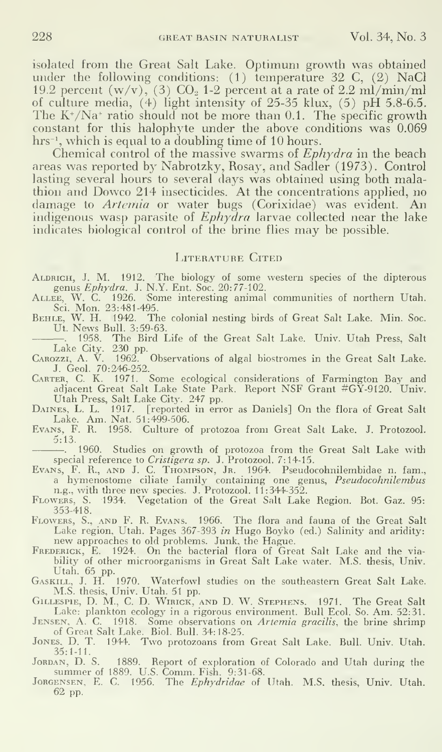isolated from the Great Salt Lake. Optimum growth was obtained under the following conditions: (1) temperature 32 C, (2) NaCl 19.2 percent  $(w/v)$ , (3) CO<sub>2</sub> 1-2 percent at a rate of 2.2 ml/min/ml of culture media, (4) light intensity of 25-35 klux, (5) pH 5.8-6.5. The  $K^*/Na^*$  ratio should not be more than 0.1. The specific growth constant for this halophyte under the above conditions was 0.069  $hrs^{-1}$ , which is equal to a doubling time of 10 hours.

Chemical control of the massive swarms of *Ephydra* in the beach areas was reported by Nabrotzky, Rosay, and Sadler (1973). Control lasting several hours to several days was obtained using both malathion and Dowco 214 insecticides. At the concentrations applied, no damage to Artemia or water bugs (Corixidae) was evident. An indigenous wasp parasite of Ephydra larvae collected near the lake indicates biological control of the brine flies may be possible.

#### LITERATURE CITED

ALDRICH, J. M. 1912. The biology of some western species of the dipterous genus *Ephydra*. J. N.Y. Ent. Soc. 20:77-102.

genus *Ephydra*. J. N.Y. Ent. Soc. 20:77-102.<br>ALLEE, W. C. 1926. Some interesting animal communities of northern Utah.<br>Sci. Mon. 23:481-495.

BEHLE, W. H. 1942. The colonial nesting birds of Great Salt Lake. Min. Soc. Ut. News Bull. 3:59-63.

. 1958. The Bird Life of the Great Salt Lake. Univ. Utah Press, Salt

Lake City. 230 pp.<br>CAROZZI, A. V. 1962. Observations of algal biostromes in the Great Salt Lake.<br>J. Geol. 70:246-252.<br>CARTER, C. K. 1971. Some ecological considerations of Farmington Bay and

adjacent Great Salt Lake State Park. Report NSF Grant #GY-9120. Univ. Utah Press, Salt Lake City. <sup>247</sup> pp.

Daines, L. L. 1917. [reported in error as Daniels] On the flora of Great Salt Lake. Am. Nat. 51:499-506. Evans, F. R. 1958. Culture of protozoa from Great Salt Lake. J. Protozool.

5:13. . 1960. Studies on growth of protozoa from the Great Salt Lake with special reference to Cristigera sp. J. Protozool. 7:14-15. Evans, F. R., and J. C. Thompson, Jr. 1964. Pseudocohnilembidae n. fam.,

a hymenostome ciliate family containing one genus, *Pseudocohnilembus*<br>n.g., with three new species. J. Protozool. 11:344-352.

Flowers, S. 1934. Vegetation of the Great Salt Lake Region. Bot. Gaz. 95: 353-418.

Flowers, S., and F. R. Evans. 1966. The flora and fauna of the Great Salt Lake region, Utah. Pages 367-393 *in* Hugo Boyko (ed.) Salinity and aridity: new approaches to old problems. Junk, the Hague.

Frederick, E. 1924. On the bacterial flora of Great Salt Lake and the via-bility of other microorganisms in Great Salt Lake water. M.S. thesis, Univ.

Utah. 65 pp. Gaskill, J. H. 1970. Waterfowl studies on the southeastern Great Salt Lake.

M.S. thesis, Univ. Utah. 51 pp.<br>GILLESPIE, D. M., C. D. WIRICK, AND D. W. STEPHENS. 1971. The Great Salt

Lake: plankton ecology in a rigorous environment. Bull Ecol. So. Am. 52:31.<br>JENSEN, A. C. 1918. Some observations on *Artemia gracilis*, the brine shrimp

of Great Salt Lake. Biol. Bull. 34:18-25. Jones. D. T. 1944. Two protozoans from Great Salt Lake. Bull. Univ. Utah. 35:1-11.

Jordan, D. S. 1889. Report of exploration of Colorado and Utah during the<br>summer of 1889. U.S. Comm. Fish. 9:31-68.<br>Jorgensen, E. C. 1956. The *Ephydridae* of Utah. M.S. thesis, Univ. Utah.

62 pp.